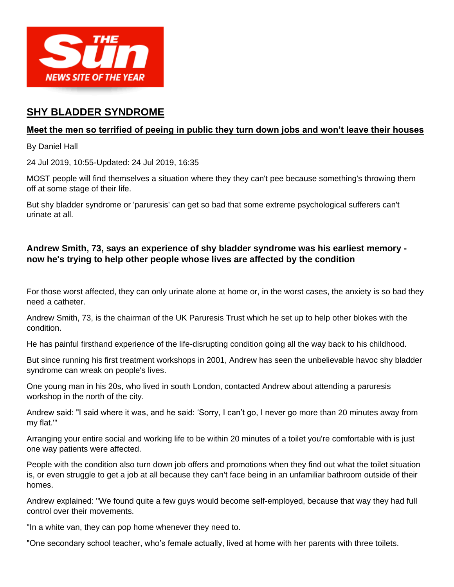

# **SHY BLADDER SYNDROME**

#### **Meet the men so terrified of peeing in public they turn down jobs and won't leave their houses**

By Daniel Hall

24 Jul 2019, 10:55-Updated: 24 Jul 2019, 16:35

MOST people will find themselves a situation where they they can't pee because something's throwing them off at some stage of their life.

But shy bladder syndrome or 'paruresis' can get so bad that some extreme psychological sufferers can't urinate at all.

### **Andrew Smith, 73, says an experience of shy bladder syndrome was his earliest memory now he's trying to help other people whose lives are affected by the condition**

For those worst affected, they can only urinate alone at home or, in the worst cases, the anxiety is so bad they need a catheter.

Andrew Smith, 73, is the chairman of the UK Paruresis Trust which he set up to help other blokes with the condition.

He has painful firsthand experience of the life-disrupting condition going all the way back to his childhood.

But since running his first treatment workshops in 2001, Andrew has seen the unbelievable havoc shy bladder syndrome can wreak on people's lives.

One young man in his 20s, who lived in south London, contacted Andrew about attending a paruresis workshop in the north of the city.

Andrew said: "I said where it was, and he said: 'Sorry, I can't go, I never go more than 20 minutes away from my flat.'"

Arranging your entire social and working life to be within 20 minutes of a toilet you're comfortable with is just one way patients were affected.

People with the condition also turn down job offers and promotions when they find out what the toilet situation is, or even struggle to get a job at all because they can't face being in an unfamiliar bathroom outside of their homes.

Andrew explained: "We found quite a few guys would become self-employed, because that way they had full control over their movements.

"In a white van, they can pop home whenever they need to.

"One secondary school teacher, who's female actually, lived at home with her parents with three toilets.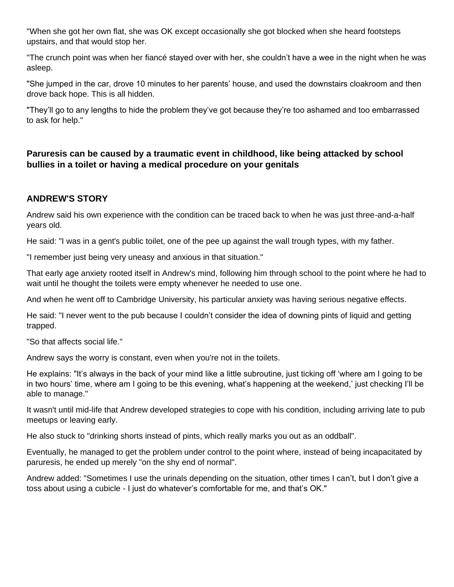"When she got her own flat, she was OK except occasionally she got blocked when she heard footsteps upstairs, and that would stop her.

"The crunch point was when her fiancé stayed over with her, she couldn't have a wee in the night when he was asleep.

"She jumped in the car, drove 10 minutes to her parents' house, and used the downstairs cloakroom and then drove back hope. This is all hidden.

"They'll go to any lengths to hide the problem they've got because they're too ashamed and too embarrassed to ask for help."

### **Paruresis can be caused by a traumatic event in childhood, like being attacked by school bullies in a toilet or having a medical procedure on your genitals**

## **ANDREW'S STORY**

Andrew said his own experience with the condition can be traced back to when he was just three-and-a-half years old.

He said: "I was in a gent's public toilet, one of the pee up against the wall trough types, with my father.

"I remember just being very uneasy and anxious in that situation."

That early age anxiety rooted itself in Andrew's mind, following him through school to the point where he had to wait until he thought the toilets were empty whenever he needed to use one.

And when he went off to Cambridge University, his particular anxiety was having serious negative effects.

He said: "I never went to the pub because I couldn't consider the idea of downing pints of liquid and getting trapped.

"So that affects social life."

Andrew says the worry is constant, even when you're not in the toilets.

He explains: "It's always in the back of your mind like a little subroutine, just ticking off 'where am I going to be in two hours' time, where am I going to be this evening, what's happening at the weekend,' just checking I'll be able to manage."

It wasn't until mid-life that Andrew developed strategies to cope with his condition, including arriving late to pub meetups or leaving early.

He also stuck to "drinking shorts instead of pints, which really marks you out as an oddball".

Eventually, he managed to get the problem under control to the point where, instead of being incapacitated by paruresis, he ended up merely "on the shy end of normal".

Andrew added: "Sometimes I use the urinals depending on the situation, other times I can't, but I don't give a toss about using a cubicle - I just do whatever's comfortable for me, and that's OK."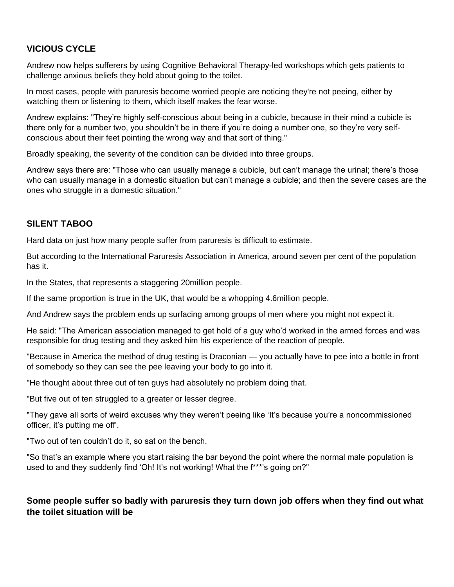## **VICIOUS CYCLE**

Andrew now helps sufferers by using Cognitive Behavioral Therapy-led workshops which gets patients to challenge anxious beliefs they hold about going to the toilet.

In most cases, people with paruresis become worried people are noticing they're not peeing, either by watching them or listening to them, which itself makes the fear worse.

Andrew explains: "They're highly self-conscious about being in a cubicle, because in their mind a cubicle is there only for a number two, you shouldn't be in there if you're doing a number one, so they're very selfconscious about their feet pointing the wrong way and that sort of thing."

Broadly speaking, the severity of the condition can be divided into three groups.

Andrew says there are: "Those who can usually manage a cubicle, but can't manage the urinal; there's those who can usually manage in a domestic situation but can't manage a cubicle; and then the severe cases are the ones who struggle in a domestic situation."

#### **SILENT TABOO**

Hard data on just how many people suffer from paruresis is difficult to estimate.

But according to the International Paruresis Association in America, around seven per cent of the population has it.

In the States, that represents a staggering 20million people.

If the same proportion is true in the UK, that would be a whopping 4.6million people.

And Andrew says the problem ends up surfacing among groups of men where you might not expect it.

He said: "The American association managed to get hold of a guy who'd worked in the armed forces and was responsible for drug testing and they asked him his experience of the reaction of people.

"Because in America the method of drug testing is Draconian — you actually have to pee into a bottle in front of somebody so they can see the pee leaving your body to go into it.

"He thought about three out of ten guys had absolutely no problem doing that.

"But five out of ten struggled to a greater or lesser degree.

"They gave all sorts of weird excuses why they weren't peeing like 'It's because you're a noncommissioned officer, it's putting me off'.

"Two out of ten couldn't do it, so sat on the bench.

"So that's an example where you start raising the bar beyond the point where the normal male population is used to and they suddenly find 'Oh! It's not working! What the f\*\*\*'s going on?"

#### **Some people suffer so badly with paruresis they turn down job offers when they find out what the toilet situation will be**